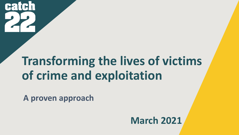

### **Transforming the lives of victims of crime and exploitation**

**A proven approach**

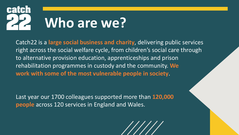

Catch22 is a **large social business and charity**, delivering public services right across the social welfare cycle, from children's social care through to alternative provision education, apprenticeships and prison rehabilitation programmes in custody and the community. **We work with some of the most vulnerable people in society**.

Last year our 1700 colleagues supported more than **120,000 people** across 120 services in England and Wales.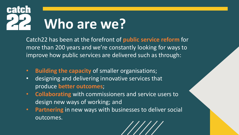

Catch22 has been at the forefront of **public service reform** for more than 200 years and we're constantly looking for ways to improve how public services are delivered such as through:

- **Building the capacity** of smaller organisations;
- designing and delivering innovative services that produce **better outcomes**;
- **Collaborating** with commissioners and service users to design new ways of working; and
- **Partnering** in new ways with businesses to deliver social outcomes.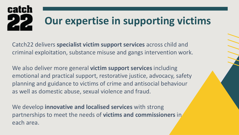#### **Our expertise in supporting victims**

Catch22 delivers **specialist victim support services** across child and criminal exploitation, substance misuse and gangs intervention work.

We also deliver more general **victim support services** including emotional and practical support, restorative justice, advocacy, safety planning and guidance to victims of crime and antisocial behaviour as well as domestic abuse, sexual violence and fraud.

We develop **innovative and localised services** with strong partnerships to meet the needs of **victims and commissioners** in each area.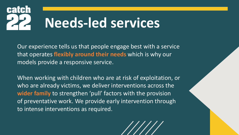### **Needs-led services**

Our experience tells us that people engage best with a service that operates **flexibly around their needs** which is why our models provide a responsive service.

When working with children who are at risk of exploitation, or who are already victims, we deliver interventions across the **wider family** to strengthen 'pull' factors with the provision of preventative work. We provide early intervention through to intense interventions as required.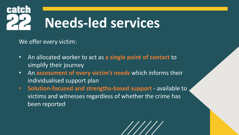

We offer every victim:

- An allocated worker to act as **a single point of contact** to simplify their journey
- An **assessment of every victim's needs** which informs their individualised support plan
- **Solution-focused and strengths-based support** available to victims and witnesses regardless of whether the crime has been reported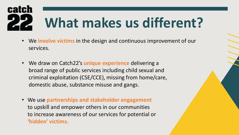# **What makes us different?**

- We **involve victims** in the design and continuous improvement of our services.
- We draw on Catch22's **unique experience** delivering a broad range of public services including child sexual and criminal exploitation (CSE/CCE), missing from home/care, domestic abuse, substance misuse and gangs.
- We use **partnerships and stakeholder engagement** to upskill and empower others in our communities to increase awareness of our services for potential or **'hidden' victims.**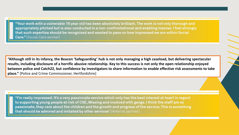"Your work with a vulnerable 16 year old has been absolutely brilliant. The work is not only thorough and appropriately pitched but is also conducted in a non-confrontational and enabling manner. I feel strongly that such expertise should be recognised and wanted to pass on how impressed we are within Social **Care."** [Social Care worker]

**"Although still in its infancy, the Beacon 'Safeguarding' hub is not only managing a high caseload, but delivering spectacular results, including disclosure of a horrific abusive relationship. Key to this success is not only the open relationship enjoyed between police and Catch22, but confidence by investigators to share information to enable effective risk assessments to take place."** [Police and Crime Commissioner, Hertfordshire]

"I'm really impressed. It's a very passionate service which only has the best interest at heart in regard to supporting young people at risk of CSE, Missing and involved with gangs. I think the staff are so passionate, they care about the children and the growth and progress of the service. This is something that should be admired and imitated by other services' [Referral partner]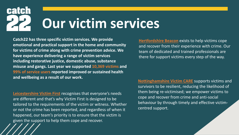### **Our victim services**

**Catch22 has three specific victim services. We provide emotional and practical support in the home and community for victims of crime along with crime prevention advice. We have experience delivering a range of victim services including restorative justice, domestic abuse, substance misuse and gangs. Last year we supported 10,369 victims and 99% of service users reported improved or sustained health and wellbeing as a result of our work.**

**[Leicestershire Victim First](https://victimfirst.org/)** recognises that everyone's needs are different and that's why Victim First is designed to be tailored to the requirements of the victim or witness. Whether or not the crime has been reported, and regardless of when it happened, our team's priority is to ensure that the victim is given the support to help them cope and recover.

**Hertfordshire Beacon** exists to help victims cope and recover from their experience with crime. Our team of dedicated and trained professionals are there for support victims every step of the way.

**[Nottinghamshire](https://www.nottsvictimcare.org.uk/) Victim CARE** supports victims and survivors to be resilient, reducing the likelihood of them being re-victimised; we empower victims to cope and recover from crime and anti-social behaviour by through timely and effective victimcentred support.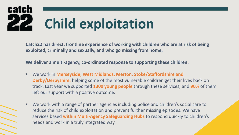# **Child exploitation**

**Catch22 has direct, frontline experience of working with children who are at risk of being exploited, criminally and sexually, and who go missing from home.** 

**We deliver a multi-agency, co-ordinated response to supporting these children:**

- We work in **Merseyside, West Midlands, Merton, Stoke/Staffordshire and Derby/Derbyshire**, helping some of the most vulnerable children get their lives back on track. Last year we supported **1300 young people** through these services, and **90%** of them left our support with a positive outcome.
- We work with a range of partner agencies including police and children's social care to reduce the risk of child exploitation and prevent further missing episodes. We have services based **within Multi-Agency Safeguarding Hubs** to respond quickly to children's needs and work in a truly integrated way.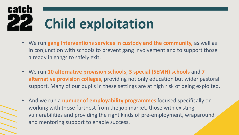# **Child exploitation**

- We run **gang interventions services in custody and the community,** as well as in conjunction with schools to prevent gang involvement and to support those already in gangs to safely exit.
- We run **10 alternative provision schools**, **3 special (SEMH) schools** and **7 alternative provision colleges,** providing not only education but wider pastoral support. Many of our pupils in these settings are at high risk of being exploited.
- And we run a **number of employability programmes** focused specifically on working with those furthest from the job market, those with existing vulnerabilities and providing the right kinds of pre-employment, wraparound and mentoring support to enable success.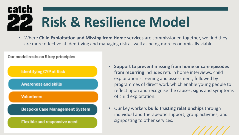#### **catch Risk & Resilience Model**

• Where **Child Exploitation and Missing from Home services** are commissioned together, we find they are more effective at identifying and managing risk as well as being more economically viable.

Our model rests on 5 key principles



- **Support to prevent missing from home or care episodes from recurring** includes return home interviews, child exploitation screening and assessment, followed by programmes of direct work which enable young people to reflect upon and recognise the causes, signs and symptoms of child exploitation.
- Our key workers **build trusting relationships** through individual and therapeutic support, group activities, and signposting to other services.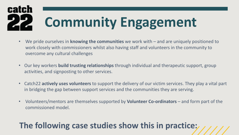# **Community Engagement**

- We pride ourselves in **knowing the communities** we work with and are uniquely positioned to work closely with commissioners whilst also having staff and volunteers in the community to overcome any cultural challenges
- Our key workers **build trusting relationships** through individual and therapeutic support, group activities, and signposting to other services.
- Catch22 **actively uses volunteers** to support the delivery of our victim services. They play a vital part in bridging the gap between support services and the communities they are serving.
- Volunteers/mentors are themselves supported by **Volunteer Co-ordinators**  and form part of the commissioned model.

#### **The following case studies show this in practice:**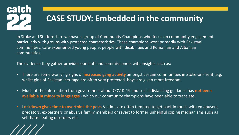

In Stoke and Staffordshire we have a group of Community Champions who focus on community engagement particularly with groups with protected characteristics. These champions work primarily with Pakistani communities, care-experienced young people, people with disabilities and Romanian and Albanian communities.

The evidence they gather provides our staff and commissioners with insights such as:

- There are some worrying signs of **increased gang activity** amongst certain communities in Stoke-on-Trent, e.g. whilst girls of Pakistani heritage are often very protected, boys are given more freedom.
- Much of the information from government about COVID-19 and social distancing guidance has **not been available in minority languages** - which our community champions have been able to translate.
- **Lockdown gives time to overthink the past.** Victims are often tempted to get back in touch with ex-abusers, predators, ex-partners or abusive family members or revert to former unhelpful coping mechanisms such as self-harm, eating disorders etc.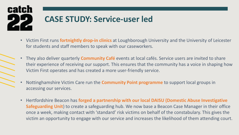# **CASE STUDY: Service-user led**

- Victim First runs **fortnightly drop-in clinics** at Loughborough University and the University of Leicester for students and staff members to speak with our caseworkers.
- They also deliver quarterly **Community Café** events at local cafés. Service users are invited to share their experience of receiving our support. This ensures that the community has a voice in shaping how Victim First operates and has created a more user-friendly service.
- Nottinghamshire Victim Care run the **Community Point programme** to support local groups in accessing our services.
- Hertfordshire Beacon has **forged a partnership with our local DAISU (Domestic Abuse Investigative Safeguarding Unit**) to create a safeguarding hub. We now base a Beacon Case Manager in their office once a week, making contact with 'standard' risk victims on behalf of the constabulary. This gives the victim an opportunity to engage with our service and increases the likelihood of them attending court.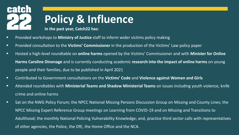#### **Policy & Influence In the past year, Catch22 has:**

- Provided workshops to **Ministry of Justice** staff to inform wider victims policy making
- Provided consultation to the **Victims' Commissioner** in the production of the Victims' Law policy paper
- Hosted a high-level roundtable on **online harms** opened by the Victims' Commissioner and with **Minister for Online Harms Caroline Dinenage** and is currently conducting academic **research into the impact of online harms** on young people and their families, due to be published in April 2021
- Contributed to Government consultations on the **Victims' Code** and **Violence against Women and Girls**
- Attended roundtables with **Ministerial Teams and Shadow Ministerial Teams** on issues including youth violence, knife crime and online harms
- Sat on the NWG Policy Forum; the NPCC National Missing Persons Discussion Group on Missing and County Lines; the NPCC Missing Expert Reference Group meetings on Learning from COVID-19 and on Missing and Transitions to Adulthood; the monthly National Policing Vulnerability Knowledge; and, practice third sector calls with representatives of other agencies, the Police, the DfE, the Home Office and the NCA.